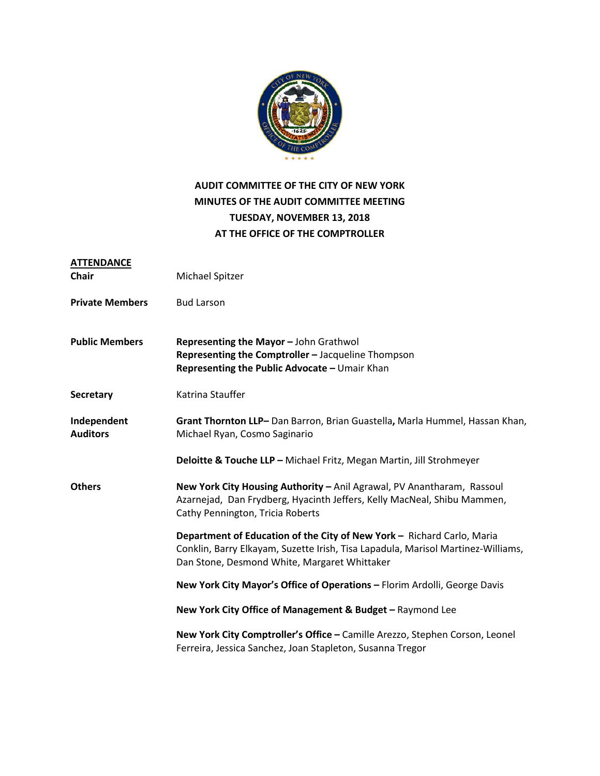

### **AUDIT COMMITTEE OF THE CITY OF NEW YORK MINUTES OF THE AUDIT COMMITTEE MEETING TUESDAY, NOVEMBER 13, 2018 AT THE OFFICE OF THE COMPTROLLER**

| <b>ATTENDANCE</b><br><b>Chair</b> | Michael Spitzer                                                                                                                                                                                            |
|-----------------------------------|------------------------------------------------------------------------------------------------------------------------------------------------------------------------------------------------------------|
| <b>Private Members</b>            | <b>Bud Larson</b>                                                                                                                                                                                          |
| <b>Public Members</b>             | Representing the Mayor - John Grathwol<br>Representing the Comptroller - Jacqueline Thompson<br>Representing the Public Advocate - Umair Khan                                                              |
| <b>Secretary</b>                  | Katrina Stauffer                                                                                                                                                                                           |
| Independent<br><b>Auditors</b>    | Grant Thornton LLP-Dan Barron, Brian Guastella, Marla Hummel, Hassan Khan,<br>Michael Ryan, Cosmo Saginario                                                                                                |
|                                   | Deloitte & Touche LLP - Michael Fritz, Megan Martin, Jill Strohmeyer                                                                                                                                       |
| <b>Others</b>                     | New York City Housing Authority - Anil Agrawal, PV Anantharam, Rassoul<br>Azarnejad, Dan Frydberg, Hyacinth Jeffers, Kelly MacNeal, Shibu Mammen,<br>Cathy Pennington, Tricia Roberts                      |
|                                   | Department of Education of the City of New York - Richard Carlo, Maria<br>Conklin, Barry Elkayam, Suzette Irish, Tisa Lapadula, Marisol Martinez-Williams,<br>Dan Stone, Desmond White, Margaret Whittaker |
|                                   | New York City Mayor's Office of Operations - Florim Ardolli, George Davis                                                                                                                                  |
|                                   | New York City Office of Management & Budget - Raymond Lee                                                                                                                                                  |
|                                   | New York City Comptroller's Office - Camille Arezzo, Stephen Corson, Leonel<br>Ferreira, Jessica Sanchez, Joan Stapleton, Susanna Tregor                                                                   |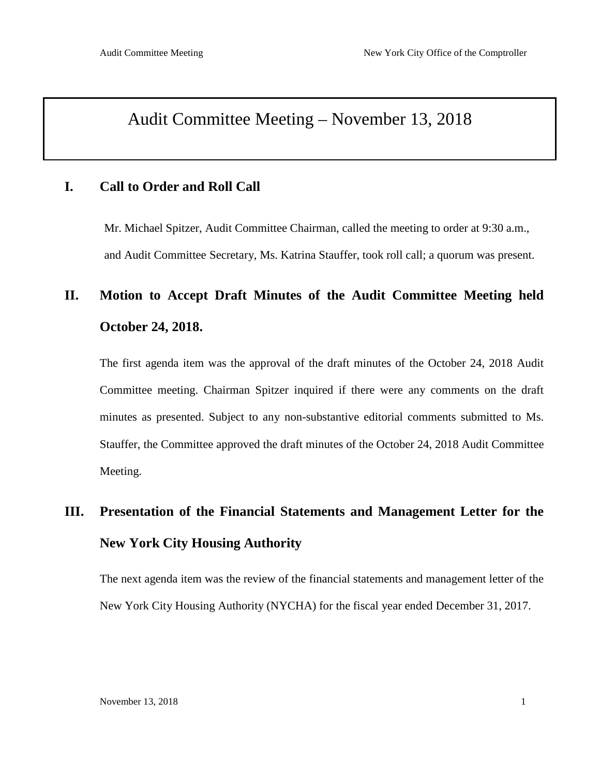### Audit Committee Meeting – November 13, 2018

### **I. Call to Order and Roll Call**

Mr. Michael Spitzer, Audit Committee Chairman, called the meeting to order at 9:30 a.m., and Audit Committee Secretary, Ms. Katrina Stauffer, took roll call; a quorum was present.

# **II. Motion to Accept Draft Minutes of the Audit Committee Meeting held October 24, 2018.**

The first agenda item was the approval of the draft minutes of the October 24, 2018 Audit Committee meeting. Chairman Spitzer inquired if there were any comments on the draft minutes as presented. Subject to any non-substantive editorial comments submitted to Ms. Stauffer, the Committee approved the draft minutes of the October 24, 2018 Audit Committee Meeting.

# **III. Presentation of the Financial Statements and Management Letter for the New York City Housing Authority**

The next agenda item was the review of the financial statements and management letter of the New York City Housing Authority (NYCHA) for the fiscal year ended December 31, 2017.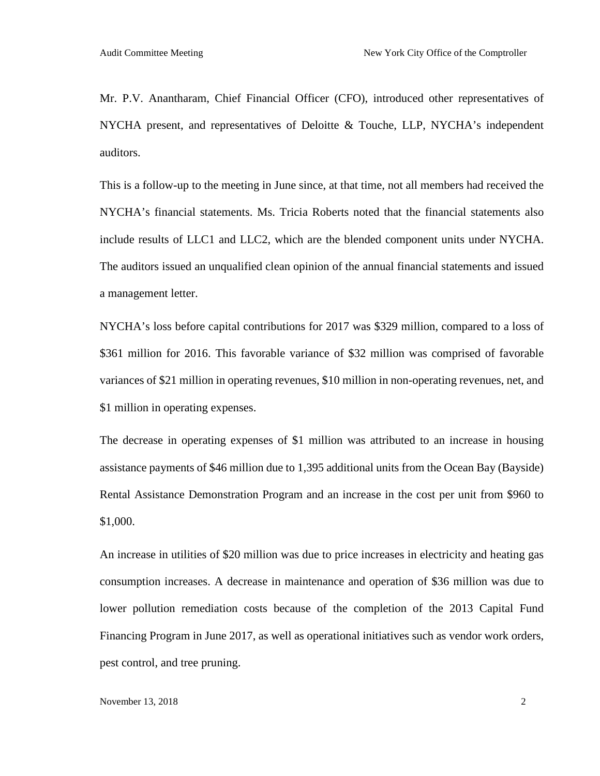Mr. P.V. Anantharam, Chief Financial Officer (CFO), introduced other representatives of NYCHA present, and representatives of Deloitte & Touche, LLP, NYCHA's independent auditors.

This is a follow-up to the meeting in June since, at that time, not all members had received the NYCHA's financial statements. Ms. Tricia Roberts noted that the financial statements also include results of LLC1 and LLC2, which are the blended component units under NYCHA. The auditors issued an unqualified clean opinion of the annual financial statements and issued a management letter.

NYCHA's loss before capital contributions for 2017 was \$329 million, compared to a loss of \$361 million for 2016. This favorable variance of \$32 million was comprised of favorable variances of \$21 million in operating revenues, \$10 million in non-operating revenues, net, and \$1 million in operating expenses.

The decrease in operating expenses of \$1 million was attributed to an increase in housing assistance payments of \$46 million due to 1,395 additional units from the Ocean Bay (Bayside) Rental Assistance Demonstration Program and an increase in the cost per unit from \$960 to \$1,000.

An increase in utilities of \$20 million was due to price increases in electricity and heating gas consumption increases. A decrease in maintenance and operation of \$36 million was due to lower pollution remediation costs because of the completion of the 2013 Capital Fund Financing Program in June 2017, as well as operational initiatives such as vendor work orders, pest control, and tree pruning.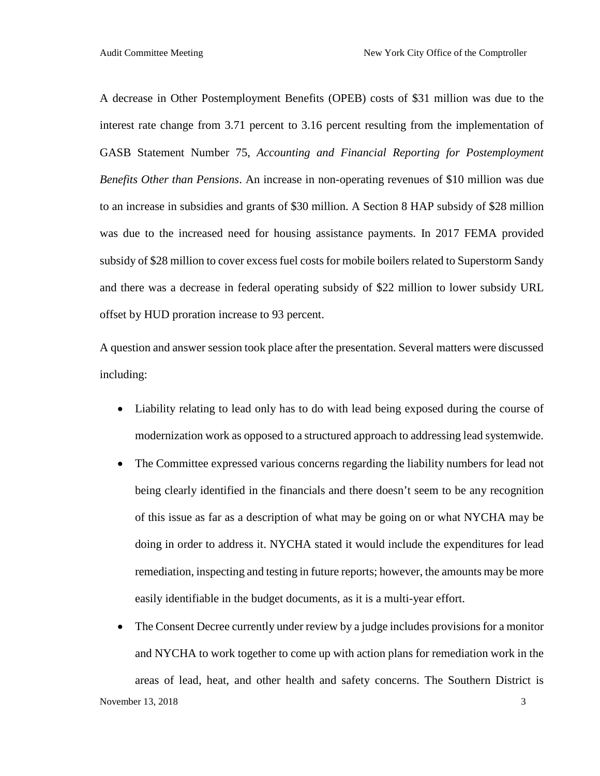A decrease in Other Postemployment Benefits (OPEB) costs of \$31 million was due to the interest rate change from 3.71 percent to 3.16 percent resulting from the implementation of GASB Statement Number 75, *Accounting and Financial Reporting for Postemployment Benefits Other than Pensions*. An increase in non-operating revenues of \$10 million was due to an increase in subsidies and grants of \$30 million. A Section 8 HAP subsidy of \$28 million was due to the increased need for housing assistance payments. In 2017 FEMA provided subsidy of \$28 million to cover excess fuel costs for mobile boilers related to Superstorm Sandy and there was a decrease in federal operating subsidy of \$22 million to lower subsidy URL offset by HUD proration increase to 93 percent.

A question and answer session took place after the presentation. Several matters were discussed including:

- Liability relating to lead only has to do with lead being exposed during the course of modernization work as opposed to a structured approach to addressing lead systemwide.
- The Committee expressed various concerns regarding the liability numbers for lead not being clearly identified in the financials and there doesn't seem to be any recognition of this issue as far as a description of what may be going on or what NYCHA may be doing in order to address it. NYCHA stated it would include the expenditures for lead remediation, inspecting and testing in future reports; however, the amounts may be more easily identifiable in the budget documents, as it is a multi-year effort.
- The Consent Decree currently under review by a judge includes provisions for a monitor and NYCHA to work together to come up with action plans for remediation work in the areas of lead, heat, and other health and safety concerns. The Southern District is